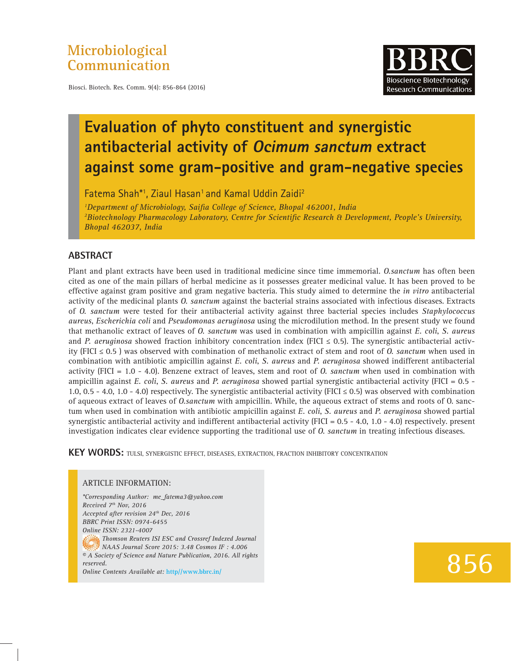### **Microbiological Communication**

Biosci. Biotech. Res. Comm. 9(4): 856-864 (2016)



## **Evaluation of phyto constituent and synergistic antibacterial activity of Ocimum sanctum extract against some gram-positive and gram-negative species**

Fatema Shah\*1, Ziaul Hasan<sup>1</sup> and Kamal Uddin Zaidi<sup>2</sup>

<sup>1</sup>Department of Microbiology, Saifia College of Science, Bhopal 462001, India <sup>2</sup> Biotechnology Pharmacology Laboratory, Centre for Scientific Research & Development, People's University, *Bhopal 462037, India*

#### **ABSTRACT**

Plant and plant extracts have been used in traditional medicine since time immemorial. *O.sanctum* has often been cited as one of the main pillars of herbal medicine as it possesses greater medicinal value. It has been proved to be effective against gram positive and gram negative bacteria. This study aimed to determine the *in vitro* antibacterial activity of the medicinal plants *O. sanctum* against the bacterial strains associated with infectious diseases. Extracts of *O. sanctum* were tested for their antibacterial activity against three bacterial species includes *Staphylococcus aureus*, *Escherichia coli* and *Pseudomonas aeruginosa* using the microdilution method. In the present study we found that methanolic extract of leaves of *O. sanctum* was used in combination with ampicillin against *E. coli*, *S. aureus* and *P. aeruginosa* showed fraction inhibitory concentration index (FICI  $\leq$  0.5). The synergistic antibacterial activity (FICI ≤ 0.5 ) was observed with combination of methanolic extract of stem and root of *O. sanctum* when used in combination with antibiotic ampicillin against *E. coli*, *S. aureus* and *P. aeruginosa* showed indifferent antibacterial activity (FICI = 1.0 - 4.0). Benzene extract of leaves, stem and root of *O. sanctum* when used in combination with ampicillin against *E. coli*, *S. aureus* and *P. aeruginosa* showed partial synergistic antibacterial activity (FICI = 0.5 - 1.0, 0.5 - 4.0, 1.0 - 4.0) respectively. The synergistic antibacterial activity (FICI  $\leq$  0.5) was observed with combination of aqueous extract of leaves of *O.sanctum* with ampicillin. While, the aqueous extract of stems and roots of O. sanctum when used in combination with antibiotic ampicillin against *E. coli*, *S. aureus* and *P. aeruginosa* showed partial synergistic antibacterial activity and indifferent antibacterial activity (FICI =  $0.5 - 4.0$ , 1.0 - 4.0) respectively. present investigation indicates clear evidence supporting the traditional use of *O. sanctum* in treating infectious diseases.

**KEY WORDS:** TULSI, SYNERGISTIC EFFECT, DISEASES, EXTRACTION, FRACTION INHIBITORY CONCENTRATION

#### ARTICLE INFORMATION:

*\*Corresponding Author: me\_fatema3@yahoo.com Received 7th Nov, 2016 Accepted after revision 24th Dec, 2016 BBRC Print ISSN: 0974-6455 Online ISSN: 2321-4007 Thomson Reuters ISI ESC and Crossref Indexed Journal NAAS Journal Score 2015: 3.48 Cosmos IF : 4.006 © A Society of Science and Nature Publication, 2016. All rights reserved. Online Contents Available at:* **http//www.bbrc.in/**

# 856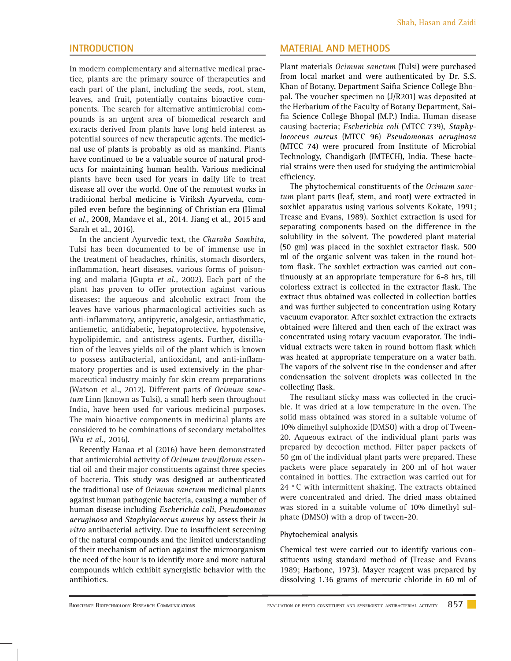#### **INTRODUCTION**

In modern complementary and alternative medical practice, plants are the primary source of therapeutics and each part of the plant, including the seeds, root, stem, leaves, and fruit, potentially contains bioactive components. The search for alternative antimicrobial compounds is an urgent area of biomedical research and extracts derived from plants have long held interest as potential sources of new therapeutic agents. The medicinal use of plants is probably as old as mankind. Plants have continued to be a valuable source of natural products for maintaining human health. Various medicinal plants have been used for years in daily life to treat disease all over the world. One of the remotest works in traditional herbal medicine is Viriksh Ayurveda, compiled even before the beginning of Christian era (Himal *et al*., 2008, Mandave et al., 2014. Jiang et al., 2015 and Sarah et al., 2016).

In the ancient Ayurvedic text, the *Charaka Samhita*, Tulsi has been documented to be of immense use in the treatment of headaches, rhinitis, stomach disorders, inflammation, heart diseases, various forms of poisoning and malaria (Gupta *et al.,* 2002). Each part of the plant has proven to offer protection against various diseases; the aqueous and alcoholic extract from the leaves have various pharmacological activities such as anti-inflammatory, antipyretic, analgesic, antiasthmatic, antiemetic, antidiabetic, hepatoprotective, hypotensive, hypolipidemic, and antistress agents. Further, distillation of the leaves yields oil of the plant which is known to possess antibacterial, antioxidant, and anti-inflammatory properties and is used extensively in the pharmaceutical industry mainly for skin cream preparations (Watson et al., 2012). Different parts of *Ocimum sanctum* Linn (known as Tulsi), a small herb seen throughout India, have been used for various medicinal purposes. The main bioactive components in medicinal plants are considered to be combinations of secondary metabolites (Wu *et al.,* 2016).

Recently Hanaa et al (2016) have been demonstrated that antimicrobial activity of *Ocimum tenuiflorum essen*tial oil and their major constituents against three species of bacteria. This study was designed at authenticated the traditional use of *Ocimum sanctum* medicinal plants against human pathogenic bacteria, causing a number of human disease including *Escherichia coli*, *Pseudomonas aeruginosa* and *Staphylococcus aureus* by assess their *in vitro* antibacterial activity. Due to insufficient screening of the natural compounds and the limited understanding of their mechanism of action against the microorganism the need of the hour is to identify more and more natural compounds which exhibit synergistic behavior with the antibiotics.

#### **MATERIAL AND METHODS**

Plant materials *Ocimum sanctum* (Tulsi) were purchased from local market and were authenticated by Dr. S.S. Khan of Botany, Department Saifia Science College Bhopal. The voucher specimen no (J/R201) was deposited at the Herbarium of the Faculty of Botany Department, Saifia Science College Bhopal (M.P.) India. Human disease causing bacteria; *Escherichia coli* (MTCC 739), *Staphylococcus aureus* (MTCC 96) *Pseudomonas aeruginosa* (MTCC 74) were procured from Institute of Microbial Technology, Chandigarh (IMTECH), India. These bacterial strains were then used for studying the antimicrobial efficiency.

The phytochemical constituents of the *Ocimum sanctum* plant parts (leaf, stem, and root) were extracted in soxhlet apparatus using various solvents Kokate, 1991; Trease and Evans, 1989). Soxhlet extraction is used for separating components based on the difference in the solubility in the solvent. The powdered plant material (50 gm) was placed in the soxhlet extractor flask. 500 ml of the organic solvent was taken in the round bottom flask. The soxhlet extraction was carried out continuously at an appropriate temperature for 6-8 hrs, till colorless extract is collected in the extractor flask. The extract thus obtained was collected in collection bottles and was further subjected to concentration using Rotary vacuum evaporator. After soxhlet extraction the extracts obtained were filtered and then each of the extract was concentrated using rotary vacuum evaporator. The individual extracts were taken in round bottom flask which was heated at appropriate temperature on a water bath. The vapors of the solvent rise in the condenser and after condensation the solvent droplets was collected in the collecting flask.

The resultant sticky mass was collected in the crucible. It was dried at a low temperature in the oven. The solid mass obtained was stored in a suitable volume of 10% dimethyl sulphoxide (DMSO) with a drop of Tween-20. Aqueous extract of the individual plant parts was prepared by decoction method. Filter paper packets of 50 gm of the individual plant parts were prepared. These packets were place separately in 200 ml of hot water contained in bottles. The extraction was carried out for 24  $\degree$  C with intermittent shaking. The extracts obtained were concentrated and dried. The dried mass obtained was stored in a suitable volume of 10% dimethyl sulphate (DMSO) with a drop of tween-20.

#### **Phytochemical analysis**

Chemical test were carried out to identify various constituents using standard method of (Trease and Evans 1989; Harbone, 1973). Mayer reagent was prepared by dissolving 1.36 grams of mercuric chloride in 60 ml of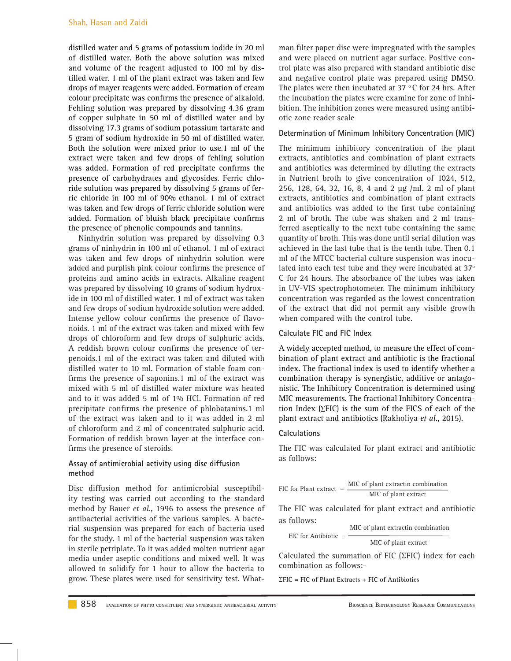distilled water and 5 grams of potassium iodide in 20 ml of distilled water. Both the above solution was mixed and volume of the reagent adjusted to 100 ml by distilled water. 1 ml of the plant extract was taken and few drops of mayer reagents were added. Formation of cream colour precipitate was confirms the presence of alkaloid. Fehling solution was prepared by dissolving 4.36 gram of copper sulphate in 50 ml of distilled water and by dissolving 17.3 grams of sodium potassium tartarate and 5 gram of sodium hydroxide in 50 ml of distilled water. Both the solution were mixed prior to use.1 ml of the extract were taken and few drops of fehling solution was added. Formation of red precipitate confirms the presence of carbohydrates and glycosides. Ferric chloride solution was prepared by dissolving 5 grams of ferric chloride in 100 ml of 90% ethanol. 1 ml of extract was taken and few drops of ferric chloride solution were added. Formation of bluish black precipitate confirms the presence of phenolic compounds and tannins.

Ninhydrin solution was prepared by dissolving 0.3 grams of ninhydrin in 100 ml of ethanol. 1 ml of extract was taken and few drops of ninhydrin solution were added and purplish pink colour confirms the presence of proteins and amino acids in extracts. Alkaline reagent was prepared by dissolving 10 grams of sodium hydroxide in 100 ml of distilled water. 1 ml of extract was taken and few drops of sodium hydroxide solution were added. Intense yellow colour confirms the presence of flavonoids. 1 ml of the extract was taken and mixed with few drops of chloroform and few drops of sulphuric acids. A reddish brown colour confirms the presence of terpenoids.1 ml of the extract was taken and diluted with distilled water to 10 ml. Formation of stable foam confirms the presence of saponins.1 ml of the extract was mixed with 5 ml of distilled water mixture was heated and to it was added 5 ml of 1% HCl. Formation of red precipitate confirms the presence of phlobatanins.1 ml of the extract was taken and to it was added in 2 ml of chloroform and 2 ml of concentrated sulphuric acid. Formation of reddish brown layer at the interface confirms the presence of steroids.

#### **Assay of antimicrobial activity using disc diffusion method**

Disc diffusion method for antimicrobial susceptibility testing was carried out according to the standard method by Bauer *et al*., 1996 to assess the presence of antibacterial activities of the various samples. A bacterial suspension was prepared for each of bacteria used for the study. 1 ml of the bacterial suspension was taken in sterile petriplate. To it was added molten nutrient agar media under aseptic conditions and mixed well. It was allowed to solidify for 1 hour to allow the bacteria to grow. These plates were used for sensitivity test. What-

man filter paper disc were impregnated with the samples and were placed on nutrient agar surface. Positive control plate was also prepared with standard antibiotic disc and negative control plate was prepared using DMSO. The plates were then incubated at 37  $\,^{\circ}$ C for 24 hrs. After the incubation the plates were examine for zone of inhibition. The inhibition zones were measured using antibiotic zone reader scale

#### **Determination of Minimum Inhibitory Concentration (MIC)**

The minimum inhibitory concentration of the plant extracts, antibiotics and combination of plant extracts and antibiotics was determined by diluting the extracts in Nutrient broth to give concentration of 1024, 512, 256, 128, 64, 32, 16, 8, 4 and 2 μg /ml. 2 ml of plant extracts, antibiotics and combination of plant extracts and antibiotics was added to the first tube containing 2 ml of broth. The tube was shaken and 2 ml transferred aseptically to the next tube containing the same quantity of broth. This was done until serial dilution was achieved in the last tube that is the tenth tube. Then 0.1 ml of the MTCC bacterial culture suspension was inoculated into each test tube and they were incubated at  $37^\circ$ C for 24 hours. The absorbance of the tubes was taken in UV-VIS spectrophotometer. The minimum inhibitory concentration was regarded as the lowest concentration of the extract that did not permit any visible growth when compared with the control tube.

#### **Calculate FIC and FIC Index**

A widely accepted method, to measure the effect of combination of plant extract and antibiotic is the fractional index. The fractional index is used to identify whether a combination therapy is synergistic, additive or antagonistic. The Inhibitory Concentration is determined using MIC measurements. The fractional Inhibitory Concentration Index (∑FIC) is the sum of the FICS of each of the plant extract and antibiotics (Rakholiya *et al*., 2015).

#### **Calculations**

The FIC was calculated for plant extract and antibiotic as follows:

| $FIC$ for Plant extract $=$ |  | MIC of plant extractin combination |
|-----------------------------|--|------------------------------------|
|                             |  | MIC of plant extract               |

The FIC was calculated for plant extract and antibiotic as follows:

|                        | MIC of plant extractin combination |
|------------------------|------------------------------------|
| FIC for Antibiotic $=$ | MIC of plant extract               |

Calculated the summation of FIC ( $\Sigma$ FIC) index for each combination as follows:-

**FIC = FIC of Plant Extracts + FIC of Antibiotics**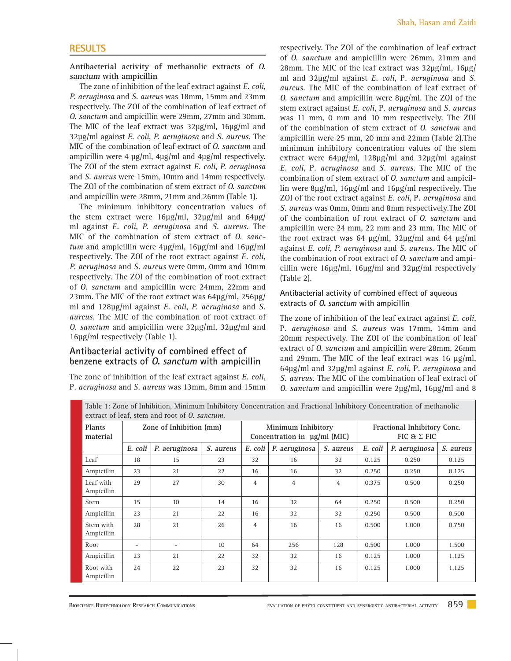#### **RESULTS**

**Antibacterial activity of methanolic extracts of O. sanctum with ampicillin** 

The zone of inhibition of the leaf extract against *E. coli*, *P. aeruginosa* and *S. aureus* was 18mm, 15mm and 23mm respectively. The ZOI of the combination of leaf extract of *O. sanctum* and ampicillin were 29mm, 27mm and 30mm. The MIC of the leaf extract was 32μg/ml, 16μg/ml and 32μg/ml against *E. coli*, *P. aeruginosa* and *S. aureus.* The MIC of the combination of leaf extract of *O. sanctum* and ampicillin were 4 μg/ml, 4μg/ml and 4μg/ml respectively. The ZOI of the stem extract against *E. coli*, *P. aeruginosa* and *S. aureus* were 15mm, 10mm and 14mm respectively. The ZOI of the combination of stem extract of *O. sanctum* and ampicillin were 28mm, 21mm and 26mm (Table 1).

The minimum inhibitory concentration values of the stem extract were 16μg/ml, 32μg/ml and 64μg/ ml against *E. coli*, *P. aeruginosa* and *S. aureus.* The MIC of the combination of stem extract of *O. sanctum* and ampicillin were 4μg/ml, 16μg/ml and 16μg/ml respectively. The ZOI of the root extract against *E. coli*, *P. aeruginosa* and *S. aureus* were 0mm, 0mm and 10mm respectively. The ZOI of the combination of root extract of *O. sanctum* and ampicillin were 24mm, 22mm and 23mm. The MIC of the root extract was 64μg/ml, 256μg/ ml and 128μg/ml against *E. coli*, *P. aeruginosa* and *S. aureus.* The MIC of the combination of root extract of *O. sanctum* and ampicillin were 32μg/ml, 32μg/ml and 16μg/ml respectively (Table 1).

#### **Antibacterial activity of combined effect of benzene extracts of O. sanctum with ampicillin**

The zone of inhibition of the leaf extract against *E. coli*, P*. aeruginosa* and *S. aureus* was 13mm, 8mm and 15mm

respectively. The ZOI of the combination of leaf extract of *O. sanctum* and ampicillin were 26mm, 21mm and 28mm. The MIC of the leaf extract was 32μg/ml, 16μg/ ml and 32μg/ml against *E. coli*, P*. aeruginosa* and *S. aureus.* The MIC of the combination of leaf extract of *O. sanctum* and ampicillin were 8μg/ml. The ZOI of the stem extract against *E. coli*, P*. aeruginosa* and *S. aureus* was 11 mm, 0 mm and 10 mm respectively. The ZOI of the combination of stem extract of *O. sanctum* and ampicillin were 25 mm, 20 mm and 22mm (Table 2).The minimum inhibitory concentration values of the stem extract were 64μg/ml, 128μg/ml and 32μg/ml against *E. coli*, P*. aeruginosa* and *S. aureus.* The MIC of the combination of stem extract of *O. sanctum* and ampicillin were 8μg/ml, 16μg/ml and 16μg/ml respectively. The ZOI of the root extract against *E. coli*, P*. aeruginosa* and *S. aureus* was 0mm, 0mm and 8mm respectively.The ZOI of the combination of root extract of *O. sanctum* and ampicillin were 24 mm, 22 mm and 23 mm. The MIC of the root extract was 64 μg/ml, 32μg/ml and 64 μg/ml against *E. coli*, *P. aeruginosa* and *S. aureus.* The MIC of the combination of root extract of *O. sanctum* and ampicillin were 16μg/ml, 16μg/ml and 32μg/ml respectively (Table 2).

#### **Antibacterial activity of combined effect of aqueous extracts of O. sanctum with ampicillin**

The zone of inhibition of the leaf extract against *E. coli*, P*. aeruginosa* and *S. aureus* was 17mm, 14mm and 20mm respectively. The ZOI of the combination of leaf extract of *O. sanctum* and ampicillin were 28mm, 26mm and 29mm. The MIC of the leaf extract was 16 μg/ml, 64μg/ml and 32μg/ml against *E. coli*, P*. aeruginosa* and *S. aureus.* The MIC of the combination of leaf extract of *O. sanctum* and ampicillin were 2μg/ml, 16μg/ml and 8

| Table 1: Zone of Inhibition, Minimum Inhibitory Concentration and Fractional Inhibitory Concentration of methanolic<br>extract of leaf, stem and root of <i>O. sanctum</i> . |                          |                         |           |                |                                                         |                |                                                   |               |           |  |  |
|------------------------------------------------------------------------------------------------------------------------------------------------------------------------------|--------------------------|-------------------------|-----------|----------------|---------------------------------------------------------|----------------|---------------------------------------------------|---------------|-----------|--|--|
| Plants<br>material                                                                                                                                                           |                          | Zone of Inhibition (mm) |           |                | Minimum Inhibitory<br>Concentration in $\mu$ g/ml (MIC) |                | Fractional Inhibitory Conc.<br>FIC & $\Sigma$ FIC |               |           |  |  |
|                                                                                                                                                                              | E. coli                  | P. aeruginosa           | S. aureus | E. coli        | P. aeruginosa                                           | S. aureus      | E. coli                                           | P. aeruginosa | S. aureus |  |  |
| Leaf                                                                                                                                                                         | 18                       | 15                      | 23        | 32             | 16                                                      | 32             | 0.125                                             | 0.250         | 0.125     |  |  |
| Ampicillin                                                                                                                                                                   | 23                       | 2.1                     | 22        | 16             | 16                                                      | 32             | 0.250                                             | 0.250         | 0.125     |  |  |
| Leaf with<br>Ampicillin                                                                                                                                                      | 29                       | 27                      | 30        | $\overline{4}$ | $\overline{4}$                                          | $\overline{4}$ | 0.375                                             | 0.500         | 0.250     |  |  |
| Stem                                                                                                                                                                         | 15                       | 10 <sup>1</sup>         | 14        | 16             | 32                                                      | 64             | 0.250                                             | 0.500         | 0.250     |  |  |
| Ampicillin                                                                                                                                                                   | 23                       | 21                      | 22        | 16             | 32                                                      | 32             | 0.250                                             | 0.500         | 0.500     |  |  |
| Stem with<br>Ampicillin                                                                                                                                                      | 28                       | 2.1                     | 26        | $\overline{4}$ | 16                                                      | 16             | 0.500                                             | 1.000         | 0.750     |  |  |
| Root                                                                                                                                                                         | $\overline{\phantom{a}}$ |                         | 10        | 64             | 256                                                     | 128            | 0.500                                             | 1.000         | 1.500     |  |  |
| Ampicillin                                                                                                                                                                   | 23                       | 2.1                     | 22        | 32             | 32                                                      | 16             | 0.125                                             | 1.000         | 1.125     |  |  |
| Root with<br>Ampicillin                                                                                                                                                      | 24                       | 22                      | 23        | 32             | 32                                                      | 16             | 0.125                                             | 1.000         | 1.125     |  |  |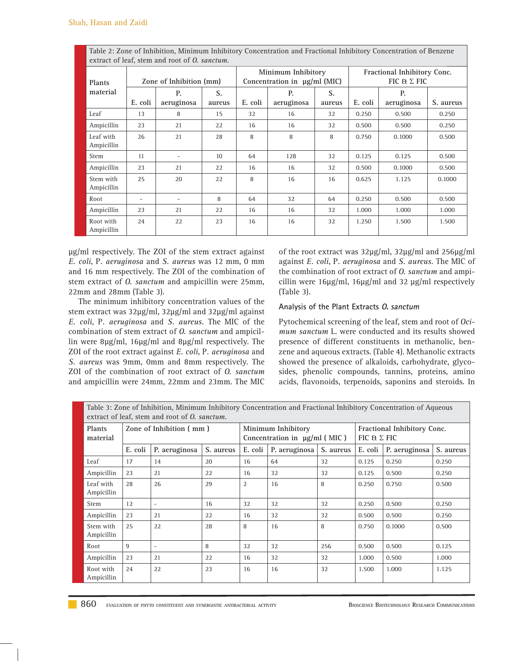| extract of leaf, stem and root of <i>O. sanctum</i> . |                          |                          |              |         |                                                         |              |                                                   |                  |           |  |  |
|-------------------------------------------------------|--------------------------|--------------------------|--------------|---------|---------------------------------------------------------|--------------|---------------------------------------------------|------------------|-----------|--|--|
| Plants                                                |                          | Zone of Inhibition (mm)  |              |         | Minimum Inhibitory<br>Concentration in $\mu$ g/ml (MIC) |              | Fractional Inhibitory Conc.<br>FIC $E \Sigma$ FIC |                  |           |  |  |
| material                                              | E. coli                  | P.<br>aeruginosa         | S.<br>aureus | E. coli | P.<br>aeruginosa                                        | S.<br>aureus | E. coli                                           | P.<br>aeruginosa | S. aureus |  |  |
| Leaf                                                  | 13                       | 8                        | 15           | 32      | 16                                                      | 32           | 0.250                                             | 0.500            | 0.250     |  |  |
| Ampicillin                                            | 23                       | 21                       | 22           | 16      | 16                                                      | 32           | 0.500                                             | 0.500            | 0.250     |  |  |
| Leaf with<br>Ampicillin                               | 26                       | 21                       | 28           | 8       | 8                                                       | 8            | 0.750                                             | 0.1000           | 0.500     |  |  |
| <b>Stem</b>                                           | 11                       | $\overline{\phantom{a}}$ | 10           | 64      | 128                                                     | 32           | 0.125                                             | 0.125            | 0.500     |  |  |
| Ampicillin                                            | 23                       | 21                       | 22           | 16      | 16                                                      | 32           | 0.500                                             | 0.1000           | 0.500     |  |  |
| Stem with<br>Ampicillin                               | 25                       | 20                       | 22           | 8       | 16                                                      | 16           | 0.625                                             | 1.125            | 0.1000    |  |  |
| Root                                                  | $\overline{\phantom{a}}$ | $\overline{\phantom{a}}$ | 8            | 64      | 32                                                      | 64           | 0.250                                             | 0.500            | 0.500     |  |  |
| Ampicillin                                            | 23                       | 21                       | 22           | 16      | 16                                                      | 32           | 1.000                                             | 1.000            | 1.000     |  |  |
| Root with<br>Ampicillin                               | 24                       | 22                       | 23           | 16      | 16                                                      | 32           | 1.250                                             | 1.500            | 1.500     |  |  |

Table 2: Zone of Inhibition, Minimum Inhibitory Concentration and Fractional Inhibitory Concentration of Benzene

μg/ml respectively. The ZOI of the stem extract against *E. coli*, P*. aeruginosa* and *S. aureus* was 12 mm, 0 mm and 16 mm respectively. The ZOI of the combination of stem extract of *O. sanctum* and ampicillin were 25mm, 22mm and 28mm (Table 3).

The minimum inhibitory concentration values of the stem extract was 32μg/ml, 32μg/ml and 32μg/ml against *E. coli*, P*. aeruginosa* and *S. aureus.* The MIC of the combination of stem extract of *O. sanctum* and ampicillin were 8μg/ml, 16μg/ml and 8μg/ml respectively. The ZOI of the root extract against *E. coli*, P*. aeruginosa* and *S. aureus* was 9mm, 0mm and 8mm respectively. The ZOI of the combination of root extract of *O. sanctum* and ampicillin were 24mm, 22mm and 23mm. The MIC of the root extract was 32μg/ml, 32μg/ml and 256μg/ml against *E. coli*, P*. aeruginosa* and *S. aureus.* The MIC of the combination of root extract of *O. sanctum* and ampicillin were 16μg/ml, 16μg/ml and 32 μg/ml respectively (Table 3).

#### **Analysis of the Plant Extracts O. sanctum**

Pytochemical screening of the leaf, stem and root of *Ocimum sanctum* L. were conducted and its results showed presence of different constituents in methanolic, benzene and aqueous extracts. (Table 4). Methanolic extracts showed the presence of alkaloids, carbohydrate, glycosides, phenolic compounds, tannins, proteins, amino acids, flavonoids, terpenoids, saponins and steroids. In

| Table 3: Zone of Inhibition, Minimum Inhibitory Concentration and Fractional Inhibitory Concentration of Aqueous<br>extract of leaf, stem and root of O. sanctum. |                         |                          |           |         |                                                    |           |                                                   |               |           |  |  |
|-------------------------------------------------------------------------------------------------------------------------------------------------------------------|-------------------------|--------------------------|-----------|---------|----------------------------------------------------|-----------|---------------------------------------------------|---------------|-----------|--|--|
| Plants<br>material                                                                                                                                                | Zone of Inhibition (mm) |                          |           |         | Minimum Inhibitory<br>Concentration in µg/ml (MIC) |           | Fractional Inhibitory Conc.<br>FIC & $\Sigma$ FIC |               |           |  |  |
|                                                                                                                                                                   | E. coli                 | P. aeruginosa            | S. aureus | E. coli | P. aeruginosa                                      | S. aureus | E. coli                                           | P. aeruginosa | S. aureus |  |  |
| Leaf                                                                                                                                                              | 17                      | 14                       | 20        | 16      | 64                                                 | 32        | 0.125                                             | 0.250         | 0.250     |  |  |
| Ampicillin                                                                                                                                                        | 23                      | 21                       | 22        | 16      | 32                                                 | 32        | 0.125                                             | 0.500         | 0.250     |  |  |
| Leaf with<br>Ampicillin                                                                                                                                           | 28                      | 26                       | 29        | 2       | 16                                                 | 8         | 0.250                                             | 0.750         | 0.500     |  |  |
| Stem                                                                                                                                                              | 12                      | $\overline{\phantom{a}}$ | 16        | 32      | 32                                                 | 32        | 0.250                                             | 0.500         | 0.250     |  |  |
| Ampicillin                                                                                                                                                        | 23                      | 21                       | 22        | 16      | 32                                                 | 32        | 0.500                                             | 0.500         | 0.250     |  |  |
| Stem with<br>Ampicillin                                                                                                                                           | 25                      | 22                       | 28        | 8       | 16                                                 | 8         | 0.750                                             | 0.1000        | 0.500     |  |  |
| Root                                                                                                                                                              | 9                       | $\overline{\phantom{a}}$ | 8         | 32      | 32                                                 | 256       | 0.500                                             | 0.500         | 0.125     |  |  |
| Ampicillin                                                                                                                                                        | 23                      | 21                       | 22        | 16      | 32                                                 | 32        | 1.000                                             | 0.500         | 1.000     |  |  |
| Root with<br>Ampicillin                                                                                                                                           | 24                      | 22                       | 23        | 16      | 16                                                 | 32        | 1.500                                             | 1.000         | 1.125     |  |  |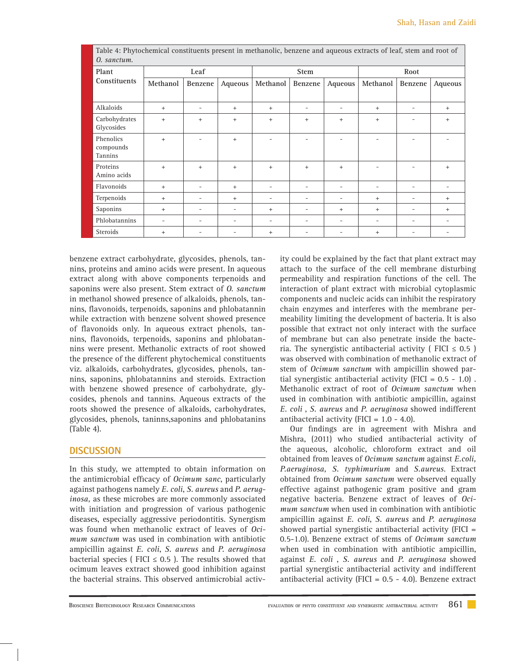| Table 4: Phytochemical constituents present in methanolic, benzene and aqueous extracts of leaf, stem and root of<br>0. sanctum. |           |                          |                          |                          |             |                          |                          |                          |         |  |
|----------------------------------------------------------------------------------------------------------------------------------|-----------|--------------------------|--------------------------|--------------------------|-------------|--------------------------|--------------------------|--------------------------|---------|--|
| Plant                                                                                                                            |           | Leaf                     |                          |                          | <b>Stem</b> |                          | Root                     |                          |         |  |
| Constituents                                                                                                                     | Methanol  | Benzene                  | Aqueous                  | Methanol                 | Benzene     | Aqueous                  | Methanol                 | Benzene                  | Aqueous |  |
|                                                                                                                                  |           |                          |                          |                          |             |                          |                          |                          |         |  |
| Alkaloids                                                                                                                        | $+$       | ٠                        | $^{+}$                   | $+$                      |             | $\overline{\phantom{a}}$ | $+$                      |                          | $+$     |  |
| Carbohydrates<br>Glycosides                                                                                                      | $+$       | $+$                      | $^{+}$                   | $+$                      | $+$         | $\ddot{}$                | $+$                      |                          | $+$     |  |
| Phenolics<br>compounds<br>Tannins                                                                                                | $\ddot{}$ |                          | $^{+}$                   | $\overline{\phantom{0}}$ |             |                          |                          |                          |         |  |
| Proteins<br>Amino acids                                                                                                          | $\ddot{}$ | $+$                      | $^{+}$                   | $\ddot{}$                | $\ddot{}$   | $\ddot{}$                |                          |                          | $+$     |  |
| Flavonoids                                                                                                                       | $+$       |                          | $^{+}$                   | -                        |             | $\overline{\phantom{a}}$ |                          |                          |         |  |
| Terpenoids                                                                                                                       | $+$       |                          | $^{+}$                   | -                        |             | $\overline{\phantom{m}}$ | $+$                      |                          | $+$     |  |
| Saponins                                                                                                                         | $+$       | ٠                        |                          | $+$                      |             | $\ddot{}$                | $^{+}$                   |                          | $+$     |  |
| Phlobatannins                                                                                                                    | ۰         | $\overline{\phantom{a}}$ | $\overline{\phantom{0}}$ | ۰                        |             | $\overline{\phantom{a}}$ | $\overline{\phantom{0}}$ | $\overline{\phantom{a}}$ | ۰       |  |
| Steroids                                                                                                                         | $\ddot{}$ | $\overline{\phantom{a}}$ | $\overline{\phantom{0}}$ | $\ddot{}$                |             |                          | $^{+}$                   |                          |         |  |

benzene extract carbohydrate, glycosides, phenols, tannins, proteins and amino acids were present. In aqueous extract along with above components terpenoids and saponins were also present. Stem extract of *O. sanctum* in methanol showed presence of alkaloids, phenols, tannins, flavonoids, terpenoids, saponins and phlobatannin while extraction with benzene solvent showed presence of flavonoids only. In aqueous extract phenols, tannins, flavonoids, terpenoids, saponins and phlobatannins were present. Methanolic extracts of root showed the presence of the different phytochemical constituents viz. alkaloids, carbohydrates, glycosides, phenols, tannins, saponins, phlobatannins and steroids. Extraction with benzene showed presence of carbohydrate, glycosides, phenols and tannins. Aqueous extracts of the roots showed the presence of alkaloids, carbohydrates, glycosides, phenols, taninns,saponins and phlobatanins (Table 4).

#### **DISCUSSION**

In this study, we attempted to obtain information on the antimicrobial efficacy of *Ocimum sanc*, particularly against pathogens namely *E. coli*, *S. aureus* and *P. aeruginosa,* as these microbes are more commonly associated with initiation and progression of various pathogenic diseases, especially aggressive periodontitis. Synergism was found when methanolic extract of leaves of *Ocimum sanctum* was used in combination with antibiotic ampicillin against *E. coli*, *S. aureus* and *P. aeruginosa* bacterial species ( FICI  $\leq$  0.5 ). The results showed that ocimum leaves extract showed good inhibition against the bacterial strains. This observed antimicrobial activ-

ity could be explained by the fact that plant extract may attach to the surface of the cell membrane disturbing permeability and respiration functions of the cell. The interaction of plant extract with microbial cytoplasmic components and nucleic acids can inhibit the respiratory chain enzymes and interferes with the membrane permeability limiting the development of bacteria. It is also possible that extract not only interact with the surface of membrane but can also penetrate inside the bacteria. The synergistic antibacterial activity ( $FICI \leq 0.5$ ) was observed with combination of methanolic extract of stem of *Ocimum sanctum* with ampicillin showed partial synergistic antibacterial activity (FICI =  $0.5 - 1.0$ ). Methanolic extract of root of *Ocimum sanctum* when used in combination with antibiotic ampicillin, against *E. coli* , *S. aureus* and *P. aeruginosa* showed indifferent antibacterial activity (FICI =  $1.0 - 4.0$ ).

Our findings are in agreement with Mishra and Mishra, (2011) who studied antibacterial activity of the aqueous, alcoholic, chloroform extract and oil obtained from leaves of *Ocimum sanctum* against *E.coli, P.aeruginosa, S. typhimurium* and *S.aureus*. Extract obtained from *Ocimum sanctum* were observed equally effective against pathogenic gram positive and gram negative bacteria. Benzene extract of leaves of *Ocimum sanctum* when used in combination with antibiotic ampicillin against *E. coli*, *S. aureus* and *P. aeruginosa* showed partial synergistic antibacterial activity (FICI = 0.5-1.0). Benzene extract of stems of *Ocimum sanctum* when used in combination with antibiotic ampicillin, against *E. coli* , *S. aureus* and *P. aeruginosa* showed partial synergistic antibacterial activity and indifferent antibacterial activity (FICI =  $0.5 - 4.0$ ). Benzene extract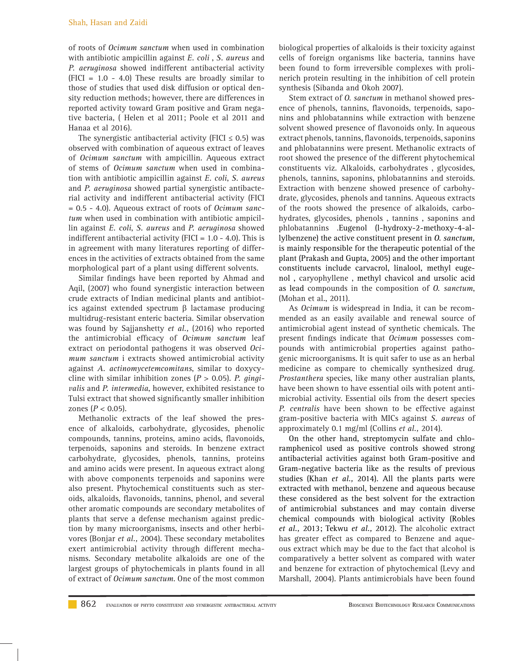of roots of *Ocimum sanctum* when used in combination with antibiotic ampicillin against *E. coli* , *S. aureus* and *P. aeruginosa* showed indifferent antibacterial activity (FICI = 1.0 - 4.0) These results are broadly similar to those of studies that used disk diffusion or optical density reduction methods; however, there are differences in reported activity toward Gram positive and Gram negative bacteria, ( Helen et al 2011; Poole et al 2011 and Hanaa et al 2016).

The synergistic antibacterial activity (FICI  $\leq$  0.5) was observed with combination of aqueous extract of leaves of *Ocimum sanctum* with ampicillin. Aqueous extract of stems of *Ocimum sanctum* when used in combination with antibiotic ampicillin against *E. coli*, *S. aureus* and *P. aeruginosa* showed partial synergistic antibacterial activity and indifferent antibacterial activity (FICI = 0.5 - 4.0). Aqueous extract of roots of *Ocimum sanctum* when used in combination with antibiotic ampicillin against *E. coli*, *S. aureus* and *P. aeruginosa* showed indifferent antibacterial activity (FICI =  $1.0 - 4.0$ ). This is in agreement with many literatures reporting of differences in the activities of extracts obtained from the same morphological part of a plant using different solvents.

Similar findings have been reported by Ahmad and Aqil, (2007) who found synergistic interaction between crude extracts of Indian medicinal plants and antibiotics against extended spectrum  $\beta$  lactamase producing multidrug-resistant enteric bacteria. Similar observation was found by Sajjanshetty *et al.,* (2016) who reported the antimicrobial efficacy of *Ocimum sanctum* leaf extract on periodontal pathogens it was observed *Ocimum sanctum* i extracts showed antimicrobial activity against *A. actinomycetemcomitans*, similar to doxycycline with similar inhibition zones (*P* > 0.05). *P. gingivalis* and *P. intermedia*, however, exhibited resistance to Tulsi extract that showed significantly smaller inhibition zones ( $P < 0.05$ ).

Methanolic extracts of the leaf showed the presence of alkaloids, carbohydrate, glycosides, phenolic compounds, tannins, proteins, amino acids, flavonoids, terpenoids, saponins and steroids. In benzene extract carbohydrate, glycosides, phenols, tannins, proteins and amino acids were present. In aqueous extract along with above components terpenoids and saponins were also present. Phytochemical constituents such as steroids, alkaloids, flavonoids, tannins, phenol, and several other aromatic compounds are secondary metabolites of plants that serve a defense mechanism against prediction by many microorganisms, insects and other herbivores (Bonjar *et al.,* 2004). These secondary metabolites exert antimicrobial activity through different mechanisms. Secondary metabolite alkaloids are one of the largest groups of phytochemicals in plants found in all of extract of *Ocimum sanctum*. One of the most common biological properties of alkaloids is their toxicity against cells of foreign organisms like bacteria, tannins have been found to form irreversible complexes with prolinerich protein resulting in the inhibition of cell protein synthesis (Sibanda and Okoh 2007).

Stem extract of *O. sanctum* in methanol showed presence of phenols, tannins, flavonoids, terpenoids, saponins and phlobatannins while extraction with benzene solvent showed presence of flavonoids only. In aqueous extract phenols, tannins, flavonoids, terpenoids, saponins and phlobatannins were present. Methanolic extracts of root showed the presence of the different phytochemical constituents viz. Alkaloids, carbohydrates , glycosides, phenols, tannins, saponins, phlobatannins and steroids. Extraction with benzene showed presence of carbohydrate, glycosides, phenols and tannins. Aqueous extracts of the roots showed the presence of alkaloids, carbohydrates, glycosides, phenols , tannins , saponins and phlobatannins .Eugenol (l-hydroxy-2-methoxy-4-allylbenzene) the active constituent present in *O. sanctum,* is mainly responsible for the therapeutic potential of the plant (Prakash and Gupta, 2005) and the other important constituents include carvacrol, linalool, methyl eugenol , caryophyllene , methyl chavicol and ursolic acid as lead compounds in the composition of *O. sanctum*, (Mohan et al., 2011).

As *Ocimum* is widespread in India, it can be recommended as an easily available and renewal source of antimicrobial agent instead of synthetic chemicals. The present findings indicate that *Ocimum* possesses compounds with antimicrobial properties against pathogenic microorganisms. It is quit safer to use as an herbal medicine as compare to chemically synthesized drug. *Prostanthera* species, like many other australian plants, have been shown to have essential oils with potent antimicrobial activity. Essential oils from the desert species *P. centralis* have been shown to be effective against gram-positive bacteria with MICs against *S. aureus* of approximately 0.1 mg/ml (Collins *et al.,* 2014).

On the other hand, streptomycin sulfate and chloramphenicol used as positive controls showed strong antibacterial activities against both Gram-positive and Gram-negative bacteria like as the results of previous studies (Khan *et al.,* 2014). All the plants parts were extracted with methanol, benzene and aqueous because these considered as the best solvent for the extraction of antimicrobial substances and may contain diverse chemical compounds with biological activity (Robles *et al.,* 2013; Tekwu *et al.,* 2012). The alcoholic extract has greater effect as compared to Benzene and aqueous extract which may be due to the fact that alcohol is comparatively a better solvent as compared with water and benzene for extraction of phytochemical (Levy and Marshall*,* 2004). Plants antimicrobials have been found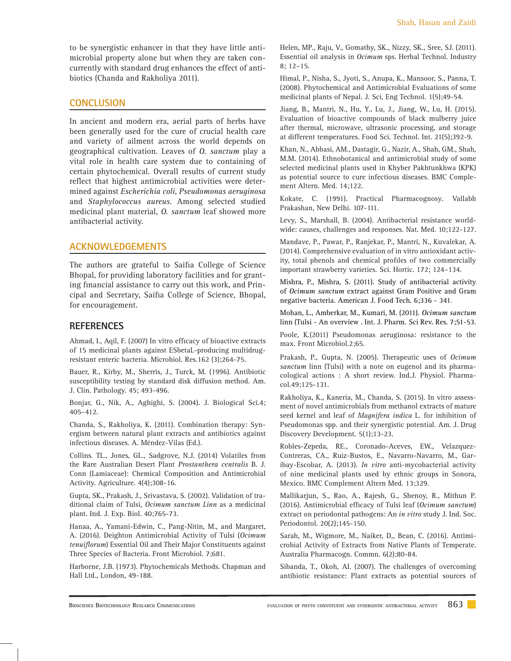to be synergistic enhancer in that they have little antimicrobial property alone but when they are taken concurrently with standard drug enhances the effect of antibiotics (Chanda and Rakholiya 2011).

#### **CONCLUSION**

In ancient and modern era, aerial parts of herbs have been generally used for the cure of crucial health care and variety of ailment across the world depends on geographical cultivation. Leaves of *O. sanctum* play a vital role in health care system due to containing of certain phytochemical. Overall results of current study reflect that highest antimicrobial activities were determined against *Escherichia coli*, *Pseudomonas aeruginosa* and *Staphylococcus aureus*. Among selected studied medicinal plant material, *O. sanctum* leaf showed more antibacterial activity.

#### **ACKNOWLEDGEMENTS**

The authors are grateful to Saifia College of Science Bhopal, for providing laboratory facilities and for granting financial assistance to carry out this work, and Principal and Secretary, Saifia College of Science, Bhopal, for encouragement.

#### **REFERENCES**

Ahmad, I., Aqil, F. (2007) In vitro efficacy of bioactive extracts of 15 medicinal plants against ESbetaL-producing multidrugresistant enteric bacteria. Microbiol. Res.162 (3);264-75.

Bauer, R., Kirby, M., Sherris, J., Turck, M. (1996). Antibiotic susceptibility testing by standard disk diffusion method. Am. J. Clin. Pathology. 45; 493-496.

Bonjar, G., Nik, A., Aghighi, S. (2004). J. Biological Sci.4; 405–412.

Chanda, S., Rakholiya, K. (2011). Combination therapy: Synergism between natural plant extracts and antibiotics against infectious diseases. A. Méndez-Vilas (Ed.).

Collins. TL., Jones, GL., Sadgrove, N.J. (2014) Volatiles from the Rare Australian Desert Plant *Prostanthera centralis* B. J. Conn (Lamiaceae): Chemical Composition and Antimicrobial Activity. Agriculture. 4(4);308-16.

Gupta, SK., Prakash, J., Srivastava, S. (2002). Validation of traditional claim of Tulsi, *Ocimum sanctum Linn* as a medicinal plant. Ind. J. Exp. Biol. 40;765-73.

Hanaa, A., Yamani-Edwin, C., Pang-Nitin, M., and Margaret, A. (2016). Deighton Antimicrobial Activity of Tulsi (*Ocimum*  tenuiflorum) Essential Oil and Their Major Constituents against Three Species of Bacteria. Front Microbiol. 7;681.

Harborne, J.B. (1973). Phytochemicals Methods. Chapman and Hall Ltd., London, 49-188.

Helen, MP., Raju, V., Gomathy, SK., Nizzy, SK., Sree, SJ. (2011). Essential oil analysis in *Ocimum* sps. Herbal Technol. Industr*y* 8; 12–15.

Himal, P., Nisha, S., Jyoti, S., Anupa, K., Mansoor, S., Panna, T. (2008). Phytochemical and Antimicrobial Evaluations of some medicinal plants of Nepal. J. Sci, Eng Technol. 1(5);49-54.

Jiang, B., Mantri, N., Hu, Y., Lu, J., Jiang, W., Lu, H. (2015). Evaluation of bioactive compounds of black mulberry juice after thermal, microwave, ultrasonic processing, and storage at different temperatures. Food Sci. Technol. Int. 21(5);392-9.

Khan, N., Abbasi, AM., Dastagir, G., Nazir, A., Shah, GM., Shah, M.M. (2014). Ethnobotanical and antimicrobial study of some selected medicinal plants used in Khyber Pakhtunkhwa (KPK) as potential source to cure infectious diseases. BMC Complement Altern. Med. 14;122.

Kokate, C. (1991). Practical Pharmacognosy*.* Vallabh Prakashan, New Delhi. 107-111.

Levy, S., Marshall, B. (2004). Antibacterial resistance worldwide: causes, challenges and responses. Nat. Med. 10;122-127.

Mandave, P., Pawar, P., Ranjekar, P., Mantri, N., Kuvalekar, A. (2014). Comprehensive evaluation of in vitro antioxidant activity, total phenols and chemical profiles of two commercially important strawberry varieties*.* Sci. Hortic. 172; 124–134.

Mishra, P., Mishra, S. (2011). Study of antibacterial activity of *Ocimum sanctum* extract against Gram Positive and Gram negative bacteria. American J. Food Tech. 6;336 - 341*.*

Mohan, L., Amberkar, M., Kumari, M. (2011). *Ocimum sanctum* linn (Tulsi - An overview . Int. J. Pharm*.* Sci Rev. Res. 7;51-53.

Poole, K.(2011) Pseudomonas aeruginosa: resistance to the max. Front Microbiol.2;65.

Prakash, P., Gupta, N. (2005). Therapeutic uses of *Ocimum sanctum* linn (Tulsi) with a note on eugenol and its pharmacological actions : A short review. Ind.J. Physiol. Pharmacol.49;125-131.

Rakholiya, K., Kaneria, M., Chanda, S. (2015). In vitro assessment of novel antimicrobials from methanol extracts of mature seed kernel and leaf of *Magnifera indica* L. for inhibition of Pseudomonas spp. and their synergistic potential. Am. J. Drug Discovery Development*.* 5(1);13-23.

Robles-Zepeda, RE., Coronado-Aceves, EW., Velazquez-Contreras, CA., Ruiz-Bustos, E., Navarro-Navarro, M., Garibay-Escobar, A. (2013). *In vitro* anti-mycobacterial activity of nine medicinal plants used by ethnic groups in Sonora, Mexico. BMC Complement Altern Med. 13;329.

Mallikarjun, S., Rao, A., Rajesh, G., Shenoy, R., Mithun P. (2016). Antimicrobial efficacy of Tulsi leaf (Ocimum sanctum) extract on periodontal pathogens: An *in vitro* study J. Ind. Soc. Periodontol. 20(2);145-150.

Sarah, M., Wigmore, M., Naiker, D,, Bean, C. (2016). Antimicrobial Activity of Extracts from Native Plants of Temperate. Australia Pharmacogn. Commn. 6(2);80-84.

Sibanda, T., Okoh, AI. (2007). The challenges of overcoming antibiotic resistance: Plant extracts as potential sources of